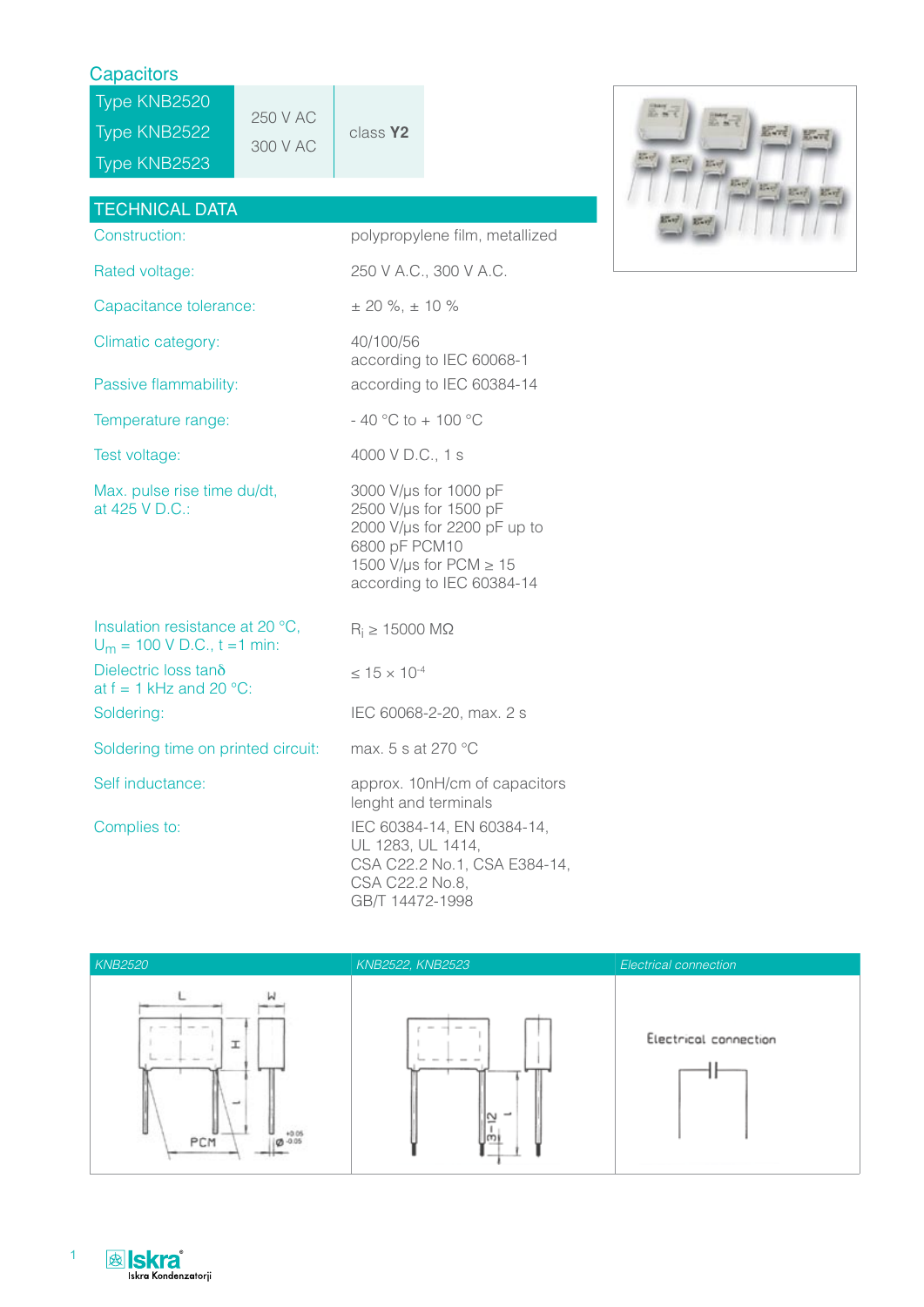## **Capacitors**

Type KNB2520 Type KNB2522  $\begin{array}{|c|c|c|c|c|}\n\hline\n300 \text{ V AC} & \text{class } \text{Y2}\n\end{array}$ Type KNB2523



| <b>TECHNICAL DATA</b>                                             |                                                                                                                                                            |
|-------------------------------------------------------------------|------------------------------------------------------------------------------------------------------------------------------------------------------------|
| Construction:                                                     | polypropylene film, metallized                                                                                                                             |
| Rated voltage:                                                    | 250 V A.C., 300 V A.C.                                                                                                                                     |
| Capacitance tolerance:                                            | $\pm$ 20 %, $\pm$ 10 %                                                                                                                                     |
| Climatic category:                                                | 40/100/56<br>according to IEC 60068-1                                                                                                                      |
| Passive flammability:                                             | according to IEC 60384-14                                                                                                                                  |
| Temperature range:                                                | $-40 °C$ to $+100 °C$                                                                                                                                      |
| Test voltage:                                                     | 4000 V D.C., 1 s                                                                                                                                           |
| Max. pulse rise time du/dt,<br>at 425 V D.C.:                     | 3000 V/µs for 1000 pF<br>2500 V/µs for 1500 pF<br>2000 V/µs for 2200 pF up to<br>6800 pF PCM10<br>1500 V/µs for PCM $\geq 15$<br>according to IEC 60384-14 |
| Insulation resistance at 20 °C,<br>$U_m = 100 V D.C., t = 1 min:$ | $R_i \ge 15000 \text{ M}\Omega$                                                                                                                            |
| Dielectric loss tano<br>at $f = 1$ kHz and 20 °C:                 | $\leq$ 15 $\times$ 10 <sup>-4</sup>                                                                                                                        |
| Soldering:                                                        | IEC 60068-2-20, max. 2 s                                                                                                                                   |
| Soldering time on printed circuit:                                | max. 5 s at 270 °C                                                                                                                                         |
| Self inductance:                                                  | approx. 10nH/cm of capacitors<br>lenght and terminals                                                                                                      |
| Complies to:                                                      | IEC 60384-14, EN 60384-14,<br>UL 1283, UL 1414,<br>CSA C22.2 No.1, CSA E384-14,<br>CSA C22.2 No.8,<br>GB/T 14472-1998                                      |





1